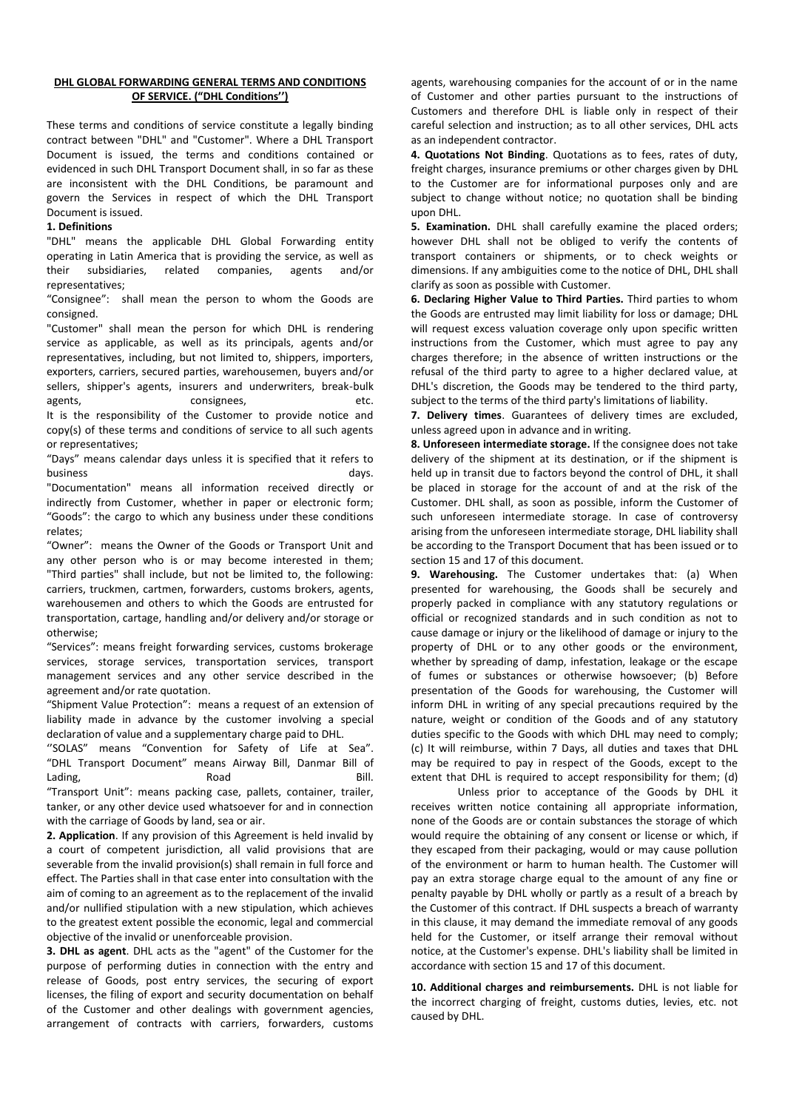## **DHL GLOBAL FORWARDING GENERAL TERMS AND CONDITIONS OF SERVICE. ("DHL Conditions'')**

These terms and conditions of service constitute a legally binding contract between "DHL" and "Customer". Where a DHL Transport Document is issued, the terms and conditions contained or evidenced in such DHL Transport Document shall, in so far as these are inconsistent with the DHL Conditions, be paramount and govern the Services in respect of which the DHL Transport Document is issued.

## **1. Definitions**

"DHL" means the applicable DHL Global Forwarding entity operating in Latin America that is providing the service, as well as their subsidiaries, related companies, agents and/or representatives;

"Consignee": shall mean the person to whom the Goods are consigned.

"Customer" shall mean the person for which DHL is rendering service as applicable, as well as its principals, agents and/or representatives, including, but not limited to, shippers, importers, exporters, carriers, secured parties, warehousemen, buyers and/or sellers, shipper's agents, insurers and underwriters, break-bulk agents, and the consignees, and the etc. It is the responsibility of the Customer to provide notice and copy(s) of these terms and conditions of service to all such agents

or representatives; "Days" means calendar days unless it is specified that it refers to

business days. "Documentation" means all information received directly or indirectly from Customer, whether in paper or electronic form; "Goods": the cargo to which any business under these conditions relates;

"Owner": means the Owner of the Goods or Transport Unit and any other person who is or may become interested in them; "Third parties" shall include, but not be limited to, the following: carriers, truckmen, cartmen, forwarders, customs brokers, agents, warehousemen and others to which the Goods are entrusted for transportation, cartage, handling and/or delivery and/or storage or otherwise;

"Services": means freight forwarding services, customs brokerage services, storage services, transportation services, transport management services and any other service described in the agreement and/or rate quotation.

"Shipment Value Protection": means a request of an extension of liability made in advance by the customer involving a special declaration of value and a supplementary charge paid to DHL.

''SOLAS" means "Convention for Safety of Life at Sea". "DHL Transport Document" means Airway Bill, Danmar Bill of Lading, Bill. Road Bill.

"Transport Unit": means packing case, pallets, container, trailer, tanker, or any other device used whatsoever for and in connection with the carriage of Goods by land, sea or air.

**2. Application**. If any provision of this Agreement is held invalid by a court of competent jurisdiction, all valid provisions that are severable from the invalid provision(s) shall remain in full force and effect. The Parties shall in that case enter into consultation with the aim of coming to an agreement as to the replacement of the invalid and/or nullified stipulation with a new stipulation, which achieves to the greatest extent possible the economic, legal and commercial objective of the invalid or unenforceable provision.

**3. DHL as agent**. DHL acts as the "agent" of the Customer for the purpose of performing duties in connection with the entry and release of Goods, post entry services, the securing of export licenses, the filing of export and security documentation on behalf of the Customer and other dealings with government agencies, arrangement of contracts with carriers, forwarders, customs agents, warehousing companies for the account of or in the name of Customer and other parties pursuant to the instructions of Customers and therefore DHL is liable only in respect of their careful selection and instruction; as to all other services, DHL acts as an independent contractor.

**4. Quotations Not Binding**. Quotations as to fees, rates of duty, freight charges, insurance premiums or other charges given by DHL to the Customer are for informational purposes only and are subject to change without notice; no quotation shall be binding upon DHL.

**5. Examination.** DHL shall carefully examine the placed orders; however DHL shall not be obliged to verify the contents of transport containers or shipments, or to check weights or dimensions. If any ambiguities come to the notice of DHL, DHL shall clarify as soon as possible with Customer.

**6. Declaring Higher Value to Third Parties.** Third parties to whom the Goods are entrusted may limit liability for loss or damage; DHL will request excess valuation coverage only upon specific written instructions from the Customer, which must agree to pay any charges therefore; in the absence of written instructions or the refusal of the third party to agree to a higher declared value, at DHL's discretion, the Goods may be tendered to the third party, subject to the terms of the third party's limitations of liability.

**7. Delivery times**. Guarantees of delivery times are excluded, unless agreed upon in advance and in writing.

**8. Unforeseen intermediate storage.** If the consignee does not take delivery of the shipment at its destination, or if the shipment is held up in transit due to factors beyond the control of DHL, it shall be placed in storage for the account of and at the risk of the Customer. DHL shall, as soon as possible, inform the Customer of such unforeseen intermediate storage. In case of controversy arising from the unforeseen intermediate storage, DHL liability shall be according to the Transport Document that has been issued or to section 15 and 17 of this document.

**9. Warehousing.** The Customer undertakes that: (a) When presented for warehousing, the Goods shall be securely and properly packed in compliance with any statutory regulations or official or recognized standards and in such condition as not to cause damage or injury or the likelihood of damage or injury to the property of DHL or to any other goods or the environment, whether by spreading of damp, infestation, leakage or the escape of fumes or substances or otherwise howsoever; (b) Before presentation of the Goods for warehousing, the Customer will inform DHL in writing of any special precautions required by the nature, weight or condition of the Goods and of any statutory duties specific to the Goods with which DHL may need to comply; (c) It will reimburse, within 7 Days, all duties and taxes that DHL may be required to pay in respect of the Goods, except to the extent that DHL is required to accept responsibility for them: (d)

Unless prior to acceptance of the Goods by DHL it receives written notice containing all appropriate information, none of the Goods are or contain substances the storage of which would require the obtaining of any consent or license or which, if they escaped from their packaging, would or may cause pollution of the environment or harm to human health. The Customer will pay an extra storage charge equal to the amount of any fine or penalty payable by DHL wholly or partly as a result of a breach by the Customer of this contract. If DHL suspects a breach of warranty in this clause, it may demand the immediate removal of any goods held for the Customer, or itself arrange their removal without notice, at the Customer's expense. DHL's liability shall be limited in accordance with section 15 and 17 of this document.

**10. Additional charges and reimbursements.** DHL is not liable for the incorrect charging of freight, customs duties, levies, etc. not caused by DHL.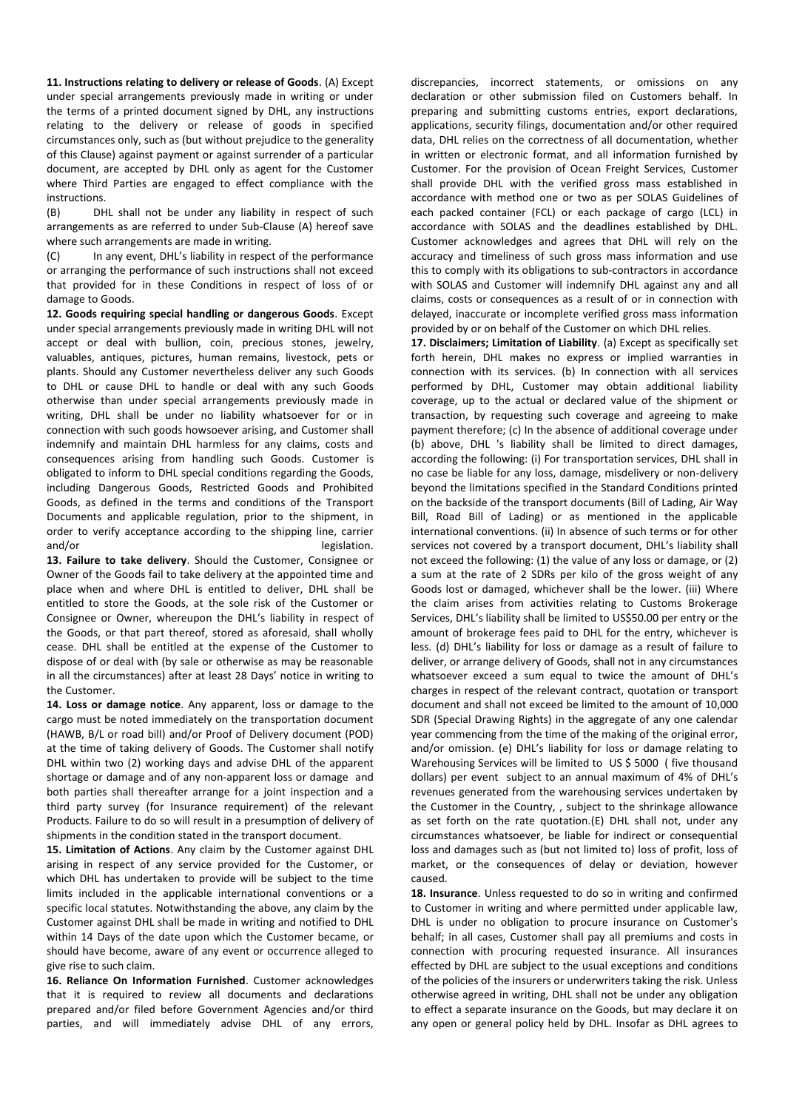**11. Instructions relating to delivery or release of Goods**. (A) Except under special arrangements previously made in writing or under the terms of a printed document signed by DHL, any instructions relating to the delivery or release of goods in specified circumstances only, such as (but without prejudice to the generality of this Clause) against payment or against surrender of a particular document, are accepted by DHL only as agent for the Customer where Third Parties are engaged to effect compliance with the instructions.

(B) DHL shall not be under any liability in respect of such arrangements as are referred to under Sub-Clause (A) hereof save where such arrangements are made in writing.

(C) In any event, DHL's liability in respect of the performance or arranging the performance of such instructions shall not exceed that provided for in these Conditions in respect of loss of or damage to Goods.

**12. Goods requiring special handling or dangerous Goods**. Except under special arrangements previously made in writing DHL will not accept or deal with bullion, coin, precious stones, jewelry, valuables, antiques, pictures, human remains, livestock, pets or plants. Should any Customer nevertheless deliver any such Goods to DHL or cause DHL to handle or deal with any such Goods otherwise than under special arrangements previously made in writing, DHL shall be under no liability whatsoever for or in connection with such goods howsoever arising, and Customer shall indemnify and maintain DHL harmless for any claims, costs and consequences arising from handling such Goods. Customer is obligated to inform to DHL special conditions regarding the Goods, including Dangerous Goods, Restricted Goods and Prohibited Goods, as defined in the terms and conditions of the Transport Documents and applicable regulation, prior to the shipment, in order to verify acceptance according to the shipping line, carrier and/or legislation.

**13. Failure to take delivery**. Should the Customer, Consignee or Owner of the Goods fail to take delivery at the appointed time and place when and where DHL is entitled to deliver, DHL shall be entitled to store the Goods, at the sole risk of the Customer or Consignee or Owner, whereupon the DHL's liability in respect of the Goods, or that part thereof, stored as aforesaid, shall wholly cease. DHL shall be entitled at the expense of the Customer to dispose of or deal with (by sale or otherwise as may be reasonable in all the circumstances) after at least 28 Days' notice in writing to the Customer.

**14. Loss or damage notice**. Any apparent, loss or damage to the cargo must be noted immediately on the transportation document (HAWB, B/L or road bill) and/or Proof of Delivery document (POD) at the time of taking delivery of Goods. The Customer shall notify DHL within two (2) working days and advise DHL of the apparent shortage or damage and of any non-apparent loss or damage and both parties shall thereafter arrange for a joint inspection and a third party survey (for Insurance requirement) of the relevant Products. Failure to do so will result in a presumption of delivery of shipments in the condition stated in the transport document.

**15. Limitation of Actions**. Any claim by the Customer against DHL arising in respect of any service provided for the Customer, or which DHL has undertaken to provide will be subject to the time limits included in the applicable international conventions or a specific local statutes. Notwithstanding the above, any claim by the Customer against DHL shall be made in writing and notified to DHL within 14 Days of the date upon which the Customer became, or should have become, aware of any event or occurrence alleged to give rise to such claim.

**16. Reliance On Information Furnished**. Customer acknowledges that it is required to review all documents and declarations prepared and/or filed before Government Agencies and/or third parties, and will immediately advise DHL of any errors,

discrepancies, incorrect statements, or omissions on any declaration or other submission filed on Customers behalf. In preparing and submitting customs entries, export declarations, applications, security filings, documentation and/or other required data, DHL relies on the correctness of all documentation, whether in written or electronic format, and all information furnished by Customer. For the provision of Ocean Freight Services, Customer shall provide DHL with the verified gross mass established in accordance with method one or two as per SOLAS Guidelines of each packed container (FCL) or each package of cargo (LCL) in accordance with SOLAS and the deadlines established by DHL. Customer acknowledges and agrees that DHL will rely on the accuracy and timeliness of such gross mass information and use this to comply with its obligations to sub-contractors in accordance with SOLAS and Customer will indemnify DHL against any and all claims, costs or consequences as a result of or in connection with delayed, inaccurate or incomplete verified gross mass information provided by or on behalf of the Customer on which DHL relies.

**17. Disclaimers; Limitation of Liability**. (a) Except as specifically set forth herein, DHL makes no express or implied warranties in connection with its services. (b) In connection with all services performed by DHL, Customer may obtain additional liability coverage, up to the actual or declared value of the shipment or transaction, by requesting such coverage and agreeing to make payment therefore; (c) In the absence of additional coverage under (b) above, DHL 's liability shall be limited to direct damages, according the following: (i) For transportation services, DHL shall in no case be liable for any loss, damage, misdelivery or non-delivery beyond the limitations specified in the Standard Conditions printed on the backside of the transport documents (Bill of Lading, Air Way Bill, Road Bill of Lading) or as mentioned in the applicable international conventions. (ii) In absence of such terms or for other services not covered by a transport document, DHL's liability shall not exceed the following: (1) the value of any loss or damage, or (2) a sum at the rate of 2 SDRs per kilo of the gross weight of any Goods lost or damaged, whichever shall be the lower. (iii) Where the claim arises from activities relating to Customs Brokerage Services, DHL's liability shall be limited to US\$50.00 per entry or the amount of brokerage fees paid to DHL for the entry, whichever is less. (d) DHL's liability for loss or damage as a result of failure to deliver, or arrange delivery of Goods, shall not in any circumstances whatsoever exceed a sum equal to twice the amount of DHL's charges in respect of the relevant contract, quotation or transport document and shall not exceed be limited to the amount of 10,000 SDR (Special Drawing Rights) in the aggregate of any one calendar year commencing from the time of the making of the original error, and/or omission. (e) DHL's liability for loss or damage relating to Warehousing Services will be limited to US \$ 5000 ( five thousand dollars) per event subject to an annual maximum of 4% of DHL's revenues generated from the warehousing services undertaken by the Customer in the Country, , subject to the shrinkage allowance as set forth on the rate quotation.(E) DHL shall not, under any circumstances whatsoever, be liable for indirect or consequential loss and damages such as (but not limited to) loss of profit, loss of market, or the consequences of delay or deviation, however caused.

**18. Insurance**. Unless requested to do so in writing and confirmed to Customer in writing and where permitted under applicable law, DHL is under no obligation to procure insurance on Customer's behalf; in all cases, Customer shall pay all premiums and costs in connection with procuring requested insurance. All insurances effected by DHL are subject to the usual exceptions and conditions of the policies of the insurers or underwriters taking the risk. Unless otherwise agreed in writing, DHL shall not be under any obligation to effect a separate insurance on the Goods, but may declare it on any open or general policy held by DHL. Insofar as DHL agrees to